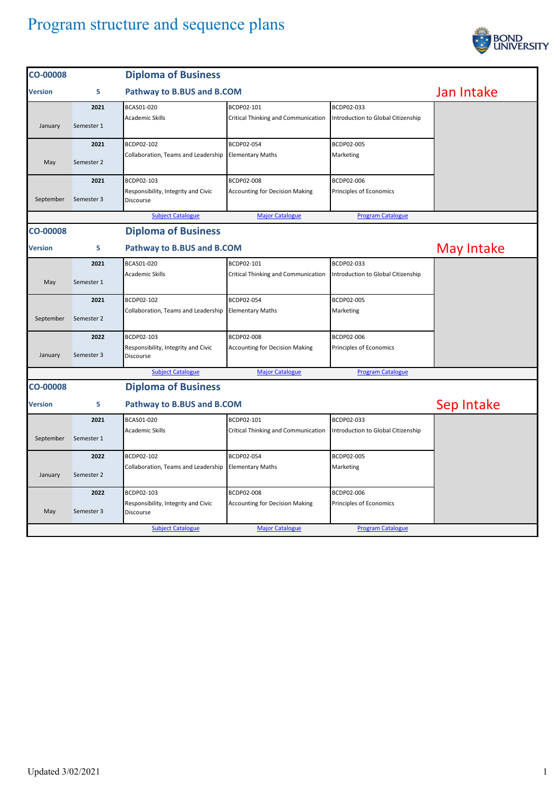

| <b>CO-00008</b>                                                                |                                 | <b>Diploma of Business</b>                              |                                       |                                    |            |  |
|--------------------------------------------------------------------------------|---------------------------------|---------------------------------------------------------|---------------------------------------|------------------------------------|------------|--|
| <b>Version</b>                                                                 | 5                               | Pathway to B.BUS and B.COM                              |                                       |                                    | Jan Intake |  |
|                                                                                | 2021                            | BCAS01-020                                              | BCDP02-101                            | BCDP02-033                         |            |  |
| January                                                                        | Semester 1                      | <b>Academic Skills</b>                                  | Critical Thinking and Communication   | Introduction to Global Citizenship |            |  |
|                                                                                | 2021                            | BCDP02-102                                              | BCDP02-054                            | BCDP02-005                         |            |  |
| May                                                                            | Semester 2                      | Collaboration, Teams and Leadership                     | <b>Elementary Maths</b>               | Marketing                          |            |  |
|                                                                                | 2021                            | BCDP02-103                                              | BCDP02-008                            | BCDP02-006                         |            |  |
| September                                                                      | Semester 3                      | Responsibility, Integrity and Civic<br><b>Discourse</b> | <b>Accounting for Decision Making</b> | Principles of Economics            |            |  |
|                                                                                |                                 | <b>Subject Catalogue</b>                                | <b>Major Catalogue</b>                | <b>Program Catalogue</b>           |            |  |
| <b>CO-00008</b>                                                                |                                 | <b>Diploma of Business</b>                              |                                       |                                    |            |  |
| Version                                                                        | Pathway to B.BUS and B.COM<br>5 |                                                         |                                       |                                    | May Intake |  |
|                                                                                | 2021                            | BCAS01-020                                              | BCDP02-101                            | BCDP02-033                         |            |  |
| May                                                                            | Semester 1                      | Academic Skills                                         | Critical Thinking and Communication   | Introduction to Global Citizenship |            |  |
|                                                                                | 2021                            | BCDP02-102                                              | BCDP02-054                            | BCDP02-005                         |            |  |
| September                                                                      | Semester 2                      | Collaboration, Teams and Leadership                     | <b>Elementary Maths</b>               | Marketing                          |            |  |
|                                                                                | 2022                            | BCDP02-103                                              | BCDP02-008                            | BCDP02-006                         |            |  |
| January                                                                        | Semester 3                      | Responsibility, Integrity and Civic<br>Discourse        | <b>Accounting for Decision Making</b> | Principles of Economics            |            |  |
|                                                                                |                                 | <b>Subject Catalogue</b>                                | <b>Major Catalogue</b>                | <b>Program Catalogue</b>           |            |  |
| <b>CO-00008</b>                                                                | <b>Diploma of Business</b>      |                                                         |                                       |                                    |            |  |
| <b>Version</b>                                                                 | Pathway to B.BUS and B.COM<br>5 |                                                         |                                       | Sep Intake                         |            |  |
|                                                                                | 2021                            | BCAS01-020                                              | BCDP02-101                            | BCDP02-033                         |            |  |
| September                                                                      | Semester 1                      | <b>Academic Skills</b>                                  | Critical Thinking and Communication   | Introduction to Global Citizenship |            |  |
|                                                                                | 2022                            | BCDP02-102                                              | BCDP02-054                            | BCDP02-005                         |            |  |
| January                                                                        | Semester 2                      | Collaboration, Teams and Leadership                     | <b>Elementary Maths</b>               | Marketing                          |            |  |
|                                                                                | 2022                            | BCDP02-103                                              | BCDP02-008                            | BCDP02-006                         |            |  |
| May                                                                            | Semester 3                      | Responsibility, Integrity and Civic<br><b>Discourse</b> | <b>Accounting for Decision Making</b> | Principles of Economics            |            |  |
| <b>Subject Catalogue</b><br><b>Major Catalogue</b><br><b>Program Catalogue</b> |                                 |                                                         |                                       |                                    |            |  |